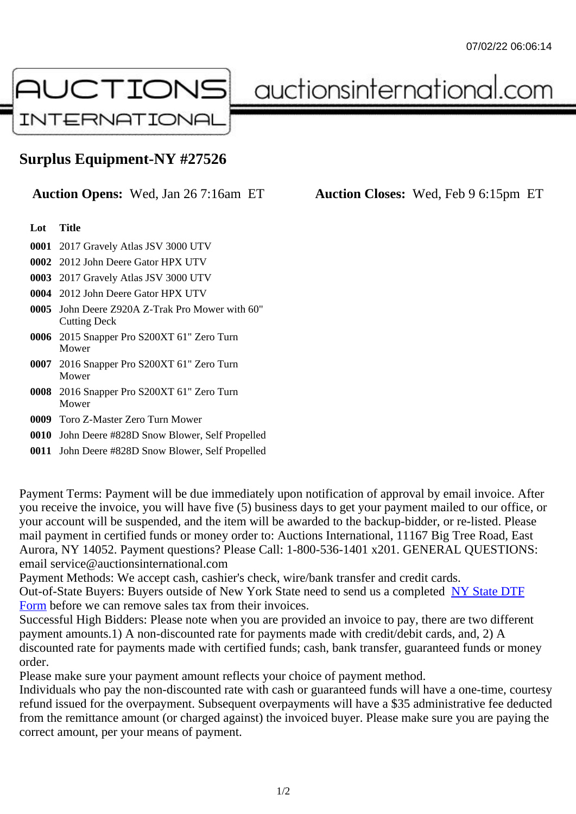## Surplus Equipment-NY #27526

Auction Opens: Wed, Jan 26 7:16am ET Auction Closes: Wed, Feb 9 6:15pm ET

Lot Title

0001 2017 Gravely Atlas JSV 3000 UTV

0002 2012 John Deere Gator HPX UTV

0003 2017 Gravely Atlas JSV 3000 UTV

- 0004 2012 John Deere Gator HPX UTV
- 0005 John Deere Z920A Z-Trak Pro Mower with 60" Cutting Deck
- 0006 2015 Snapper Pro S200XT 61" Zero Turn Mower
- 0007 2016 Snapper Pro S200XT 61" Zero Turn Mower
- 0008 2016 Snapper Pro S200XT 61" Zero Turn Mower
- 0009 Toro Z-Master Zero Turn Mower
- 0010 John Deere #828D Snow Blower, Self Propelled
- 0011 John Deere #828D Snow Blower, Self Propelled

Payment Terms: Payment will be due immediately upon notification of approval by email invoice. After you receive the invoice, you will have five (5) business days to get your payment mailed to our office, or your account will be suspended, and the item will be awarded to the backup-bidder, or re-listed. Please mail payment in certified funds or money order to: Auctions International, 11167 Big Tree Road, East Aurora, NY 14052. Payment questions? Please Call: 1-800-536-1401 x201. GENERAL QUESTIONS: email service@auctionsinternational.com

Payment Methods: We accept cash, cashier's check, wire/bank transfer and credit cards. Out-of-State Buyers: Buyers outside of New York State need to send us a complered to TTF Form before we can remove sales tax from their invoices.

Successful High Bidders: Please note when you are provided an invoice to pay, there are two different payment amounts.1) A non-discounted rate for payments made with credit/de[bit cards, and](https://www.auctionsinternational.com/auxiliary/downloads/DTF_Form/dtf_fill_in.pdf), 2) A [disco](https://www.auctionsinternational.com/auxiliary/downloads/DTF_Form/dtf_fill_in.pdf)unted rate for payments made with certified funds; cash, bank transfer, guaranteed funds or mone order.

Please make sure your payment amount reflects your choice of payment method.

Individuals who pay the non-discounted rate with cash or guaranteed funds will have a one-time, courte refund issued for the overpayment. Subsequent overpayments will have a \$35 administrative fee deduc from the remittance amount (or charged against) the invoiced buyer. Please make sure you are paying correct amount, per your means of payment.